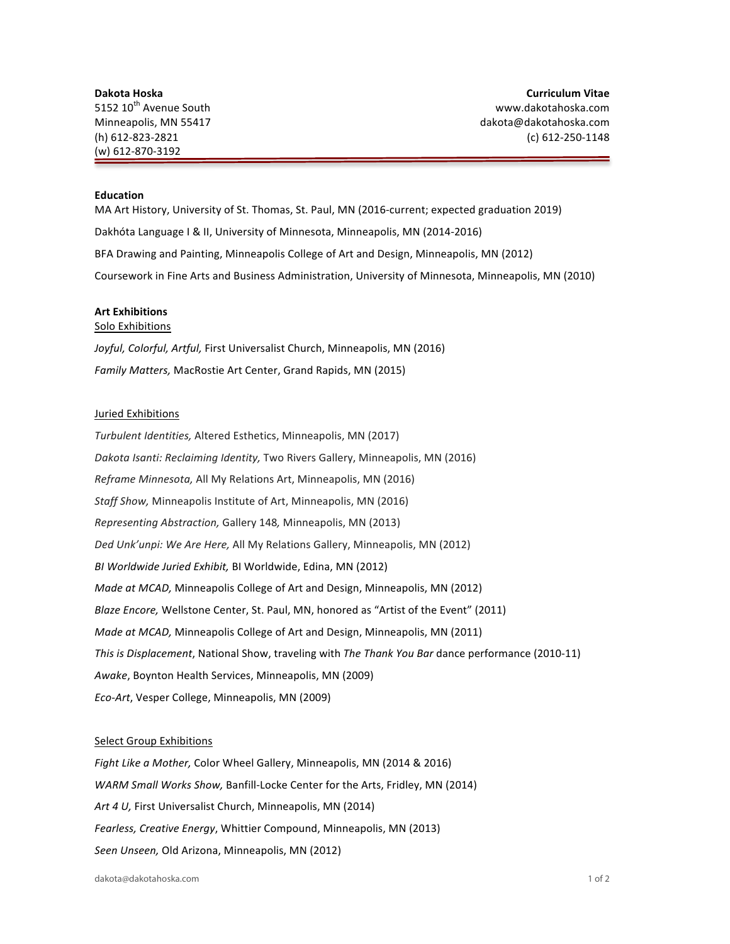## **Education**

MA Art History, University of St. Thomas, St. Paul, MN (2016-current; expected graduation 2019) Dakhóta Language I & II, University of Minnesota, Minneapolis, MN (2014-2016) BFA Drawing and Painting, Minneapolis College of Art and Design, Minneapolis, MN (2012) Coursework in Fine Arts and Business Administration, University of Minnesota, Minneapolis, MN (2010)

## **Art Exhibitions**

## Solo Exhibitions

Joyful, Colorful, Artful, First Universalist Church, Minneapolis, MN (2016) *Family Matters, MacRostie Art Center, Grand Rapids, MN (2015)* 

## Juried Exhibitions

*Turbulent Identities, Altered Esthetics, Minneapolis, MN (2017)* Dakota Isanti: Reclaiming Identity, Two Rivers Gallery, Minneapolis, MN (2016) *Reframe Minnesota, All My Relations Art, Minneapolis, MN (2016) Staff Show,* Minneapolis Institute of Art, Minneapolis, MN (2016) *Representing Abstraction,* Gallery 148*,* Minneapolis, MN (2013) Ded Unk'unpi: We Are Here, All My Relations Gallery, Minneapolis, MN (2012) *BI Worldwide Juried Exhibit, BI Worldwide, Edina, MN (2012) Made at MCAD,* Minneapolis College of Art and Design, Minneapolis, MN (2012) *Blaze Encore,* Wellstone Center, St. Paul, MN, honored as "Artist of the Event" (2011) *Made at MCAD,* Minneapolis College of Art and Design, Minneapolis, MN (2011) *This is Displacement*, National Show, traveling with *The Thank You Bar* dance performance (2010-11) Awake, Boynton Health Services, Minneapolis, MN (2009) *Eco-Art*, Vesper College, Minneapolis, MN (2009)

#### Select Group Exhibitions

*Fight Like a Mother, Color Wheel Gallery, Minneapolis, MN (2014 & 2016) WARM Small Works Show, Banfill-Locke Center for the Arts, Fridley, MN (2014)* Art 4 U, First Universalist Church, Minneapolis, MN (2014) Fearless, Creative Energy, Whittier Compound, Minneapolis, MN (2013) Seen Unseen, Old Arizona, Minneapolis, MN (2012)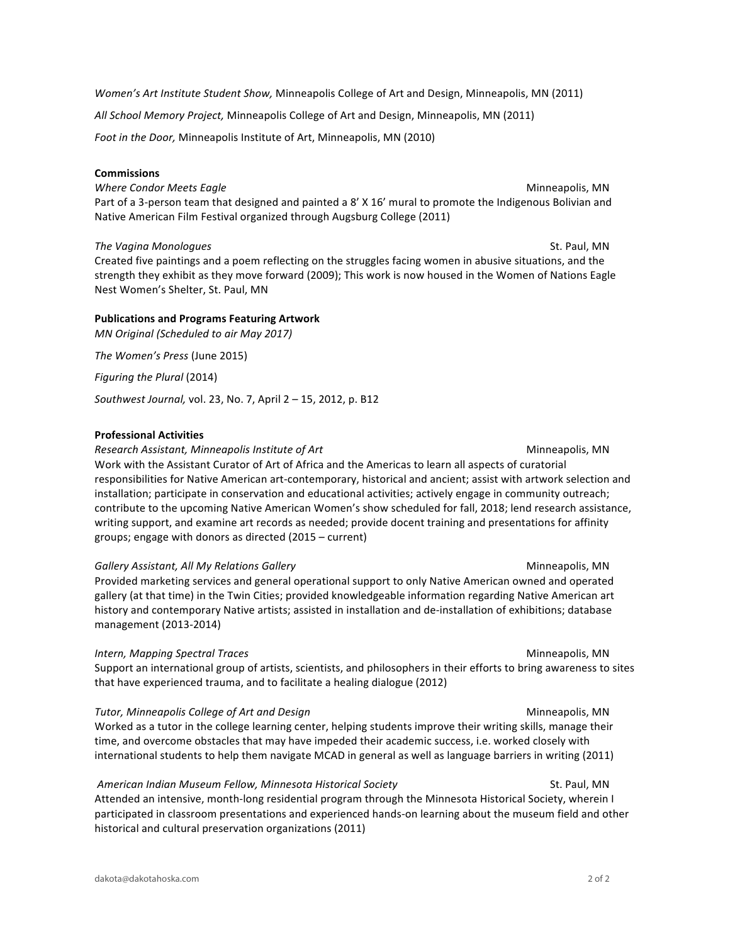*Women's Art Institute Student Show,* Minneapolis College of Art and Design, Minneapolis, MN (2011)

All School Memory Project, Minneapolis College of Art and Design, Minneapolis, MN (2011)

Foot in the Door, Minneapolis Institute of Art, Minneapolis, MN (2010)

### **Commissions**

**Where Condor Meets Eagle** Minneapolis, MN Part of a 3-person team that designed and painted a 8' X 16' mural to promote the Indigenous Bolivian and Native American Film Festival organized through Augsburg College (2011)

## *The Vagina Monologues* St. Paul, MN

Created five paintings and a poem reflecting on the struggles facing women in abusive situations, and the strength they exhibit as they move forward (2009); This work is now housed in the Women of Nations Eagle Nest Women's Shelter, St. Paul, MN

# **Publications and Programs Featuring Artwork**

*MN* Original (Scheduled to air May 2017)

*The Women's Press* (June 2015)

*Figuring the Plural* (2014)

*Southwest Journal, vol.* 23, No. 7, April 2 - 15, 2012, p. B12

## **Professional Activities**

**Research Assistant, Minneapolis Institute of Art** Manual Minneapolis, MN Work with the Assistant Curator of Art of Africa and the Americas to learn all aspects of curatorial responsibilities for Native American art-contemporary, historical and ancient; assist with artwork selection and installation; participate in conservation and educational activities; actively engage in community outreach; contribute to the upcoming Native American Women's show scheduled for fall, 2018; lend research assistance, writing support, and examine art records as needed; provide docent training and presentations for affinity groups; engage with donors as directed  $(2015 - current)$ 

Gallery Assistant, All My Relations Gallery Minneapolis, MN Provided marketing services and general operational support to only Native American owned and operated gallery (at that time) in the Twin Cities; provided knowledgeable information regarding Native American art history and contemporary Native artists; assisted in installation and de-installation of exhibitions; database management (2013-2014)

#### **Intern, Mapping Spectral Traces** Minneapolis, MN

Support an international group of artists, scientists, and philosophers in their efforts to bring awareness to sites that have experienced trauma, and to facilitate a healing dialogue (2012)

*Tutor, Minneapolis College of Art and Design* Minneapolis, MN

Worked as a tutor in the college learning center, helping students improve their writing skills, manage their time, and overcome obstacles that may have impeded their academic success, i.e. worked closely with international students to help them navigate MCAD in general as well as language barriers in writing (2011)

## American Indian Museum Fellow, Minnesota Historical Society **St. Paul, MN** St. Paul, MN

Attended an intensive, month-long residential program through the Minnesota Historical Society, wherein I participated in classroom presentations and experienced hands-on learning about the museum field and other historical and cultural preservation organizations (2011)